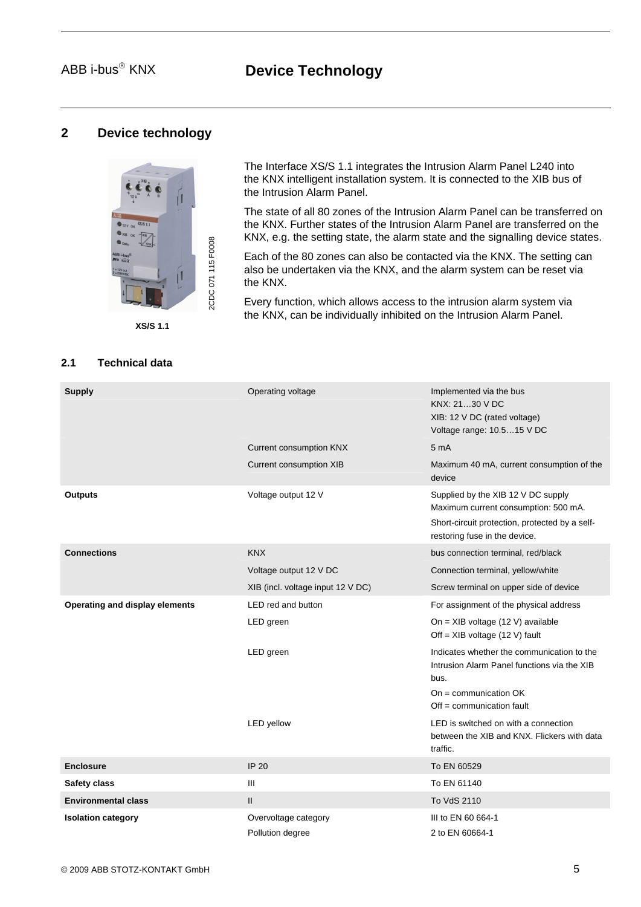# ABB i-bus<sup>®</sup> KNX **Device Technology**

# **2 Device technology**



**XS/S 1.1**

## **2.1 Technical data**

The Interface XS/S 1.1 integrates the Intrusion Alarm Panel L240 into the KNX intelligent installation system. It is connected to the XIB bus of the Intrusion Alarm Panel.

The state of all 80 zones of the Intrusion Alarm Panel can be transferred on the KNX. Further states of the Intrusion Alarm Panel are transferred on the KNX, e.g. the setting state, the alarm state and the signalling device states.

Each of the 80 zones can also be contacted via the KNX. The setting can also be undertaken via the KNX, and the alarm system can be reset via the KNX.

Every function, which allows access to the intrusion alarm system via the KNX, can be individually inhibited on the Intrusion Alarm Panel.

| <b>Supply</b>                  | Operating voltage                 | Implemented via the bus<br>KNX: 2130 V DC<br>XIB: 12 V DC (rated voltage)<br>Voltage range: 10.515 V DC                                                       |
|--------------------------------|-----------------------------------|---------------------------------------------------------------------------------------------------------------------------------------------------------------|
|                                | <b>Current consumption KNX</b>    | 5 <sub>m</sub> A                                                                                                                                              |
|                                | Current consumption XIB           | Maximum 40 mA, current consumption of the<br>device                                                                                                           |
| <b>Outputs</b>                 | Voltage output 12 V               | Supplied by the XIB 12 V DC supply<br>Maximum current consumption: 500 mA.<br>Short-circuit protection, protected by a self-<br>restoring fuse in the device. |
| <b>Connections</b>             | <b>KNX</b>                        | bus connection terminal, red/black                                                                                                                            |
|                                | Voltage output 12 V DC            | Connection terminal, yellow/white                                                                                                                             |
|                                | XIB (incl. voltage input 12 V DC) | Screw terminal on upper side of device                                                                                                                        |
| Operating and display elements | LED red and button                | For assignment of the physical address                                                                                                                        |
|                                | LED green                         | On = XIB voltage (12 V) available<br>Off = $XIB$ voltage (12 V) fault                                                                                         |
|                                | LED green                         | Indicates whether the communication to the<br>Intrusion Alarm Panel functions via the XIB<br>bus.                                                             |
|                                |                                   | $On = communication OK$<br>$Off = communication fault$                                                                                                        |
|                                | <b>LED</b> yellow                 | LED is switched on with a connection<br>between the XIB and KNX. Flickers with data<br>traffic.                                                               |
| <b>Enclosure</b>               | <b>IP 20</b>                      | To EN 60529                                                                                                                                                   |
| Safety class                   | Ш                                 | To EN 61140                                                                                                                                                   |
| <b>Environmental class</b>     | $\mathbf{II}$                     | To VdS 2110                                                                                                                                                   |
| <b>Isolation category</b>      | Overvoltage category              | III to EN 60 664-1                                                                                                                                            |
|                                | Pollution degree                  | 2 to EN 60664-1                                                                                                                                               |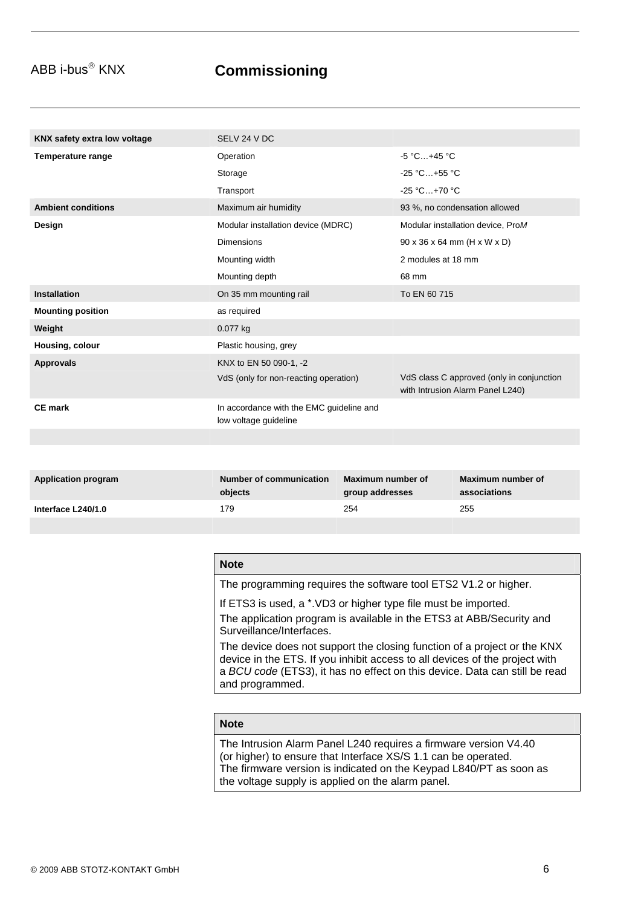# ABB i-bus<sup>®</sup> KNX **Commissioning**

| KNX safety extra low voltage | SELV 24 V DC                                                      |                                                                               |
|------------------------------|-------------------------------------------------------------------|-------------------------------------------------------------------------------|
| <b>Temperature range</b>     | Operation                                                         | $-5 °C+45 °C$                                                                 |
|                              | Storage                                                           | -25 °C+55 °C                                                                  |
|                              | Transport                                                         | $-25 °C+70 °C$                                                                |
| <b>Ambient conditions</b>    | Maximum air humidity                                              | 93 %, no condensation allowed                                                 |
| Design                       | Modular installation device (MDRC)                                | Modular installation device, ProM                                             |
|                              | <b>Dimensions</b>                                                 | $90 \times 36 \times 64$ mm (H x W x D)                                       |
|                              | Mounting width                                                    | 2 modules at 18 mm                                                            |
|                              | Mounting depth                                                    | 68 mm                                                                         |
| <b>Installation</b>          | On 35 mm mounting rail                                            | To EN 60 715                                                                  |
| <b>Mounting position</b>     | as required                                                       |                                                                               |
| Weight                       | 0.077 kg                                                          |                                                                               |
| Housing, colour              | Plastic housing, grey                                             |                                                                               |
| <b>Approvals</b>             | KNX to EN 50 090-1, -2                                            |                                                                               |
|                              | VdS (only for non-reacting operation)                             | VdS class C approved (only in conjunction<br>with Intrusion Alarm Panel L240) |
| <b>CE</b> mark               | In accordance with the EMC guideline and<br>low voltage guideline |                                                                               |
|                              |                                                                   |                                                                               |
|                              |                                                                   |                                                                               |
| <b>Application program</b>   | Maximum number of<br><b>Number of communication</b>               | Maximum number of                                                             |

| Application program | Number of communication<br>objects | - Maximum number of<br><b>group addresses</b> | Maximum number of<br>associations |
|---------------------|------------------------------------|-----------------------------------------------|-----------------------------------|
|                     |                                    |                                               |                                   |
| Interface L240/1.0  | '79                                | 254                                           | 255                               |

| <b>Note</b> |                                                                                                                                                                                                                                                          |
|-------------|----------------------------------------------------------------------------------------------------------------------------------------------------------------------------------------------------------------------------------------------------------|
|             | The programming requires the software tool ETS2 V1.2 or higher.                                                                                                                                                                                          |
|             | If ETS3 is used, a *. VD3 or higher type file must be imported.<br>The application program is available in the ETS3 at ABB/Security and<br>Surveillance/Interfaces.                                                                                      |
|             | The device does not support the closing function of a project or the KNX<br>device in the ETS. If you inhibit access to all devices of the project with<br>a BCU code (ETS3), it has no effect on this device. Data can still be read<br>and programmed. |

## **Note**

The Intrusion Alarm Panel L240 requires a firmware version V4.40 (or higher) to ensure that Interface XS/S 1.1 can be operated. The firmware version is indicated on the Keypad L840/PT as soon as the voltage supply is applied on the alarm panel.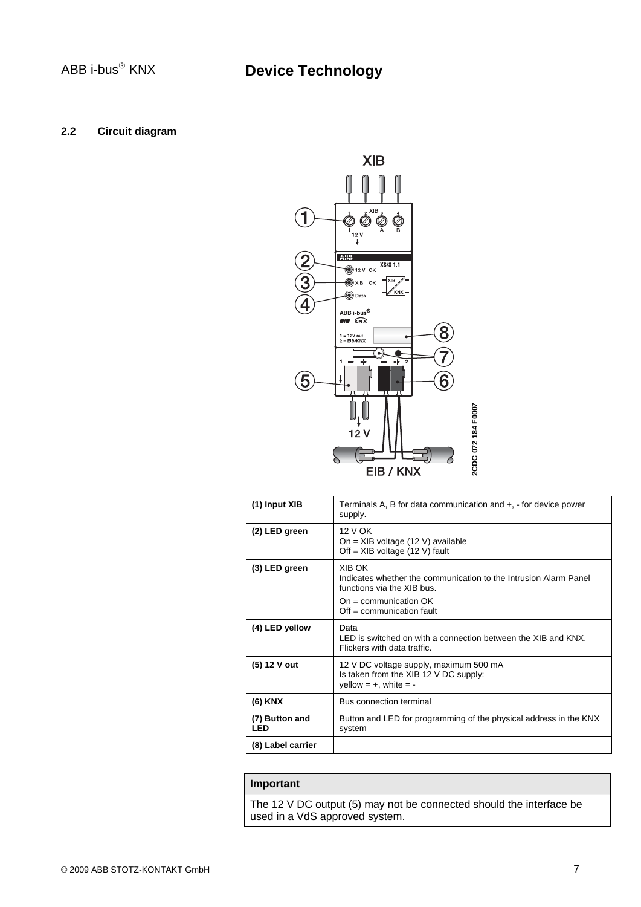# **2.2 Circuit diagram**



| (1) Input XIB                | Terminals A, B for data communication and +, - for device power<br>supply.                                                                                         |
|------------------------------|--------------------------------------------------------------------------------------------------------------------------------------------------------------------|
| (2) LED green                | 12 V OK<br>$On = XIB$ voltage (12 V) available<br>Off = $XIB$ voltage (12 V) fault                                                                                 |
| (3) LED green                | XIB OK<br>Indicates whether the communication to the Intrusion Alarm Panel<br>functions via the XIB bus.<br>$On = communication OK$<br>$Off = communication fault$ |
| (4) LED yellow               | Data<br>LED is switched on with a connection between the XIB and KNX.<br>Flickers with data traffic.                                                               |
| (5) 12 V out                 | 12 V DC voltage supply, maximum 500 mA<br>Is taken from the XIB 12 V DC supply:<br>yellow = $+$ , white = -                                                        |
| (6) KNX                      | Bus connection terminal                                                                                                                                            |
| (7) Button and<br><b>LED</b> | Button and LED for programming of the physical address in the KNX<br>system                                                                                        |
| (8) Label carrier            |                                                                                                                                                                    |

# **Important**

The 12 V DC output (5) may not be connected should the interface be used in a VdS approved system.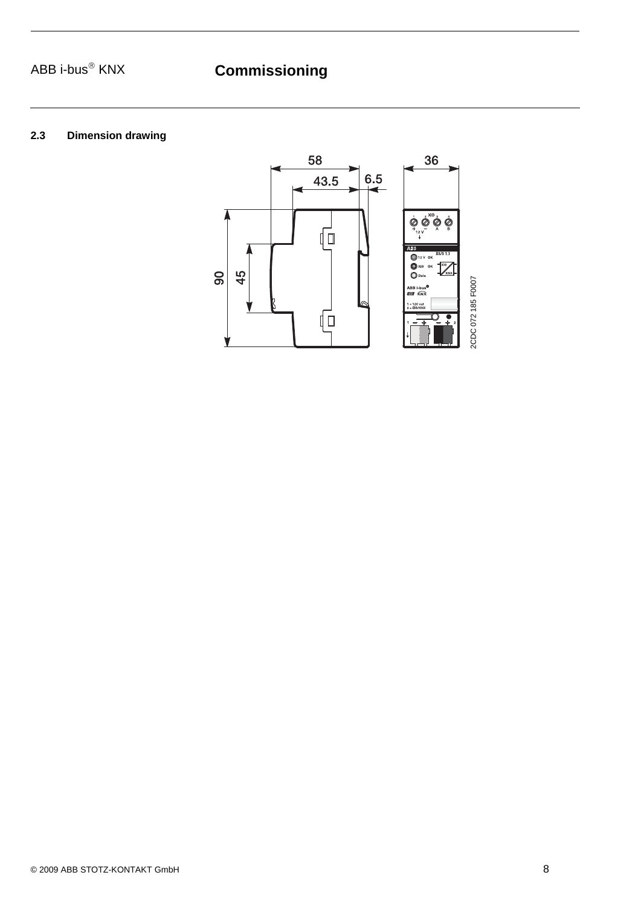# ABB i-bus<sup>®</sup> KNX **Commissioning**

# **2.3 Dimension drawing**